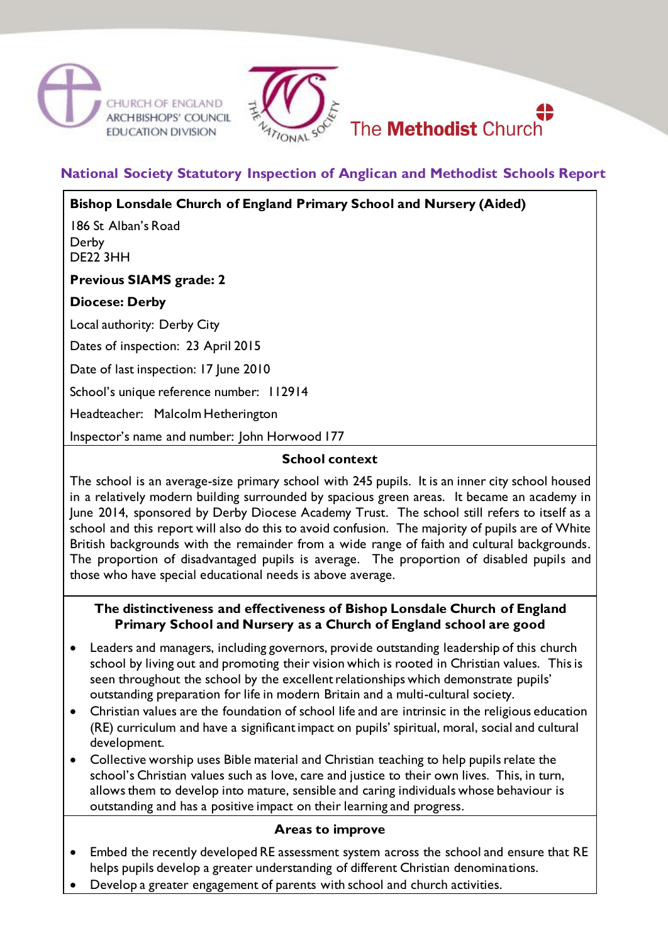





# **National Society Statutory Inspection of Anglican and Methodist Schools Report**

**Bishop Lonsdale Church of England Primary School and Nursery (Aided)** 186 St Alban's Road Derby DE22 3HH **Previous SIAMS grade: 2 Diocese: Derby** Local authority: Derby City Dates of inspection: 23 April 2015 Date of last inspection: 17 June 2010 School's unique reference number: 112914 Headteacher: Malcolm Hetherington Inspector's name and number: John Horwood 177

# **School context**

The school is an average-size primary school with 245 pupils. It is an inner city school housed in a relatively modern building surrounded by spacious green areas. It became an academy in June 2014, sponsored by Derby Diocese Academy Trust. The school still refers to itself as a school and this report will also do this to avoid confusion. The majority of pupils are of White British backgrounds with the remainder from a wide range of faith and cultural backgrounds. The proportion of disadvantaged pupils is average. The proportion of disabled pupils and those who have special educational needs is above average.

## **The distinctiveness and effectiveness of Bishop Lonsdale Church of England Primary School and Nursery as a Church of England school are good**

- Leaders and managers, including governors, provide outstanding leadership of this church school by living out and promoting their vision which is rooted in Christian values. This is seen throughout the school by the excellent relationships which demonstrate pupils' outstanding preparation for life in modern Britain and a multi-cultural society.
- Christian values are the foundation of school life and are intrinsic in the religious education (RE) curriculum and have a significant impact on pupils' spiritual, moral, social and cultural development.
- Collective worship uses Bible material and Christian teaching to help pupils relate the school's Christian values such as love, care and justice to their own lives. This, in turn, allows them to develop into mature, sensible and caring individuals whose behaviour is outstanding and has a positive impact on their learning and progress.

#### **Areas to improve**

- Embed the recently developed RE assessment system across the school and ensure that RE helps pupils develop a greater understanding of different Christian denominations.
- Develop a greater engagement of parents with school and church activities.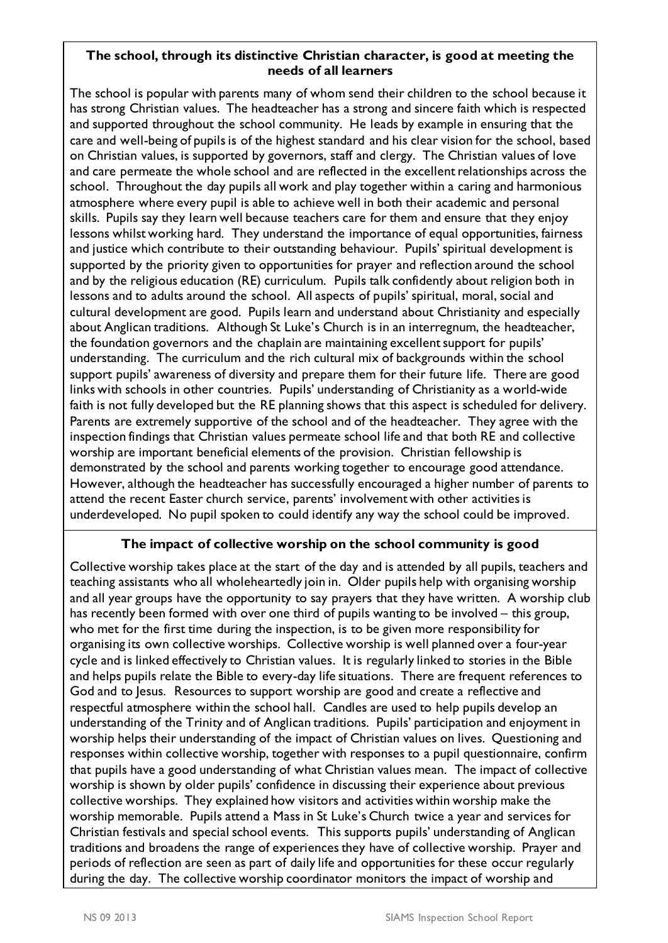#### **The school, through its distinctive Christian character, is good at meeting the needs of all learners**

The school is popular with parents many of whom send their children to the school because it has strong Christian values. The headteacher has a strong and sincere faith which is respected and supported throughout the school community. He leads by example in ensuring that the care and well-being of pupils is of the highest standard and his clear vision for the school, based on Christian values, is supported by governors, staff and clergy. The Christian values of love and care permeate the whole school and are reflected in the excellent relationships across the school. Throughout the day pupils all work and play together within a caring and harmonious atmosphere where every pupil is able to achieve well in both their academic and personal skills. Pupils say they learn well because teachers care for them and ensure that they enjoy lessons whilst working hard. They understand the importance of equal opportunities, fairness and justice which contribute to their outstanding behaviour. Pupils' spiritual development is supported by the priority given to opportunities for prayer and reflection around the school and by the religious education (RE) curriculum. Pupils talk confidently about religion both in lessons and to adults around the school. All aspects of pupils' spiritual, moral, social and cultural development are good. Pupils learn and understand about Christianity and especially about Anglican traditions. Although St Luke's Church is in an interregnum, the headteacher, the foundation governors and the chaplain are maintaining excellent support for pupils' understanding. The curriculum and the rich cultural mix of backgrounds within the school support pupils' awareness of diversity and prepare them for their future life. There are good links with schools in other countries. Pupils' understanding of Christianity as a world-wide faith is not fully developed but the RE planning shows that this aspect is scheduled for delivery. Parents are extremely supportive of the school and of the headteacher. They agree with the inspection findings that Christian values permeate school life and that both RE and collective worship are important beneficial elements of the provision. Christian fellowship is demonstrated by the school and parents working together to encourage good attendance. However, although the headteacher has successfully encouraged a higher number of parents to attend the recent Easter church service, parents' involvement with other activities is underdeveloped. No pupil spoken to could identify any way the school could be improved.

# **The impact of collective worship on the school community is good**

Collective worship takes place at the start of the day and is attended by all pupils, teachers and teaching assistants who all wholeheartedly join in. Older pupils help with organising worship and all year groups have the opportunity to say prayers that they have written. A worship club has recently been formed with over one third of pupils wanting to be involved – this group, who met for the first time during the inspection, is to be given more responsibility for organising its own collective worships. Collective worship is well planned over a four-year cycle and is linked effectively to Christian values. It is regularly linked to stories in the Bible and helps pupils relate the Bible to every-day life situations. There are frequent references to God and to Jesus. Resources to support worship are good and create a reflective and respectful atmosphere within the school hall. Candles are used to help pupils develop an understanding of the Trinity and of Anglican traditions. Pupils' participation and enjoyment in worship helps their understanding of the impact of Christian values on lives. Questioning and responses within collective worship, together with responses to a pupil questionnaire, confirm that pupils have a good understanding of what Christian values mean. The impact of collective worship is shown by older pupils' confidence in discussing their experience about previous collective worships. They explained how visitors and activities within worship make the worship memorable. Pupils attend a Mass in St Luke's Church twice a year and services for Christian festivals and special school events. This supports pupils' understanding of Anglican traditions and broadens the range of experiences they have of collective worship. Prayer and periods of reflection are seen as part of daily life and opportunities for these occur regularly during the day. The collective worship coordinator monitors the impact of worship and